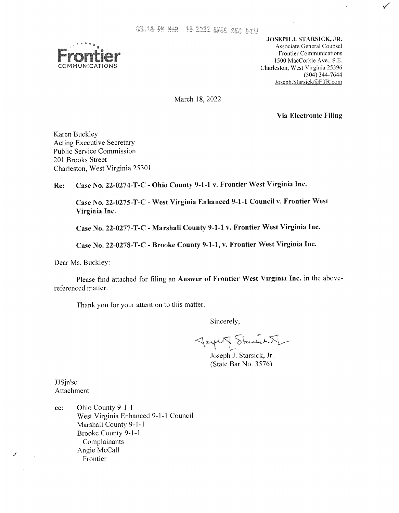

**JOSEPH J. STARSICK, JR.** Associate General Counsel Frontier Communications 1500 MacCorkle **Ave.,** S.E. Charleston, West Virginia 25396 Joseph.Starsick@FTR.com (304) 344-7644

March 18,2022

**Via Electronic Filing** 

Karen Buckley Acting Executive Secretary Public Service Commission 201 Brooks Street Charleston, West Virginia 25301

**Re: Case No. 22-0274-T-C** - **Ohio County 9-1-1 v. Frontier West Virginia Inc.** 

**Case No. 22-0275-T-C - West Virginia Enhanced 9-1-1 Council <b>v. Frontier West Virginia Inc.** 

**Case No. 22-0277-T-C** - **Marshall County 9-1-1 v. Frontier West Virginia Inc.** 

**Case No. 22-0278-T-C** - **Brooke County 9-1-1, v. Frontier West Virginia Inc.** 

Dear Ms. Buckley:

Please find attached for filing an **Answer of Frontier West Virginia Inc.** in the abovereferenced matter.

Thank you for your attention to this matter.

Sincerely,

Tought Stand V

Joseph J. Starsick, Jr. (State Bar No. 3576)

JJSjr/sc Attachment

*J* 

cc: Ohio County 9-1-1 West Virginia Enhanced 9-1-1 Council Marshall County 9-1-1 Brooke County 9-1-1 Angie McCall Complainants Frontier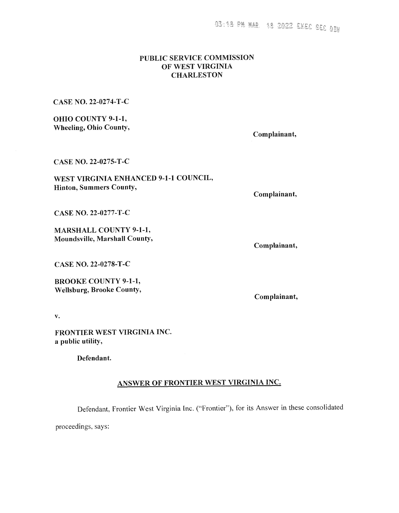# PUBLIC SERVICE COMMISSION OF WEST VIRGINIA **CHARLESTON**

CASE NO. 22-0274-T-C

**OHIO COUNTY 9-1-1, Wheeling, Ohio County,** 

Complainant,

CASE NO. 22-0275-T-C

WEST VIRGINIA ENHANCED 9-1-1 COUNCIL, **Hinton, Summers County,** 

Complainant,

CASE NO. 22-0277-T-C

**MARSHALL COUNTY 9-1-1,** Moundsville, Marshall County,

Complainant,

CASE NO. 22-0278-T-C

**BROOKE COUNTY 9-1-1, Wellsburg, Brooke County,** 

Complainant,

 $\mathbf{v}_*$ 

FRONTIER WEST VIRGINIA INC. a public utility,

Defendant.

# ANSWER OF FRONTIER WEST VIRGINIA INC.

Defendant, Frontier West Virginia Inc. ("Frontier"), for its Answer in these consolidated

proceedings, says: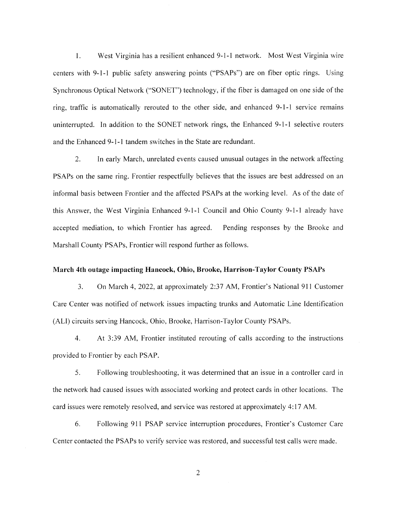1. West Virginia has a resilient enhanced 9-1-1 network. Most West Virginia wire centers with 9-1-1 public safety answering points ("PSAPs") are on fiber optic rings. Using Synchronous Optical Network ("SONET") technology, if the fiber is damaged on one side of the ring, traffic is automatically rerouted to the other side, and enhanced 9-1-1 service remains uninterrupted. In addition to the SONET network rings, the Enhanced 9-1-1 selective routers and the Enhanced 9-1-1 tandem switches in the State are redundant.

2. In early March, unrelated events caused unusual outages in the network affecting PSAPs on the same ring. Frontier respectfully believes that the issues are best addressed on an informal basis between Frontier and the affected PSAPs at the working level. As of the date of this Answer, the West Virginia Enhanced 9-1-1 Council and Ohio County 9-1-1 already have accepted mediation, to which Frontier has agreed. Pending responses by the Brooke and Marshall County PSAPs, Frontier will respond further as follows.

## **March 4th outage impacting Hancock, Ohio, Brooke, Harrison-Taylor County PSAPs**

3. On March 4, 2022, at approximately 2:37 AM, Frontier's National 911 Customer Care Center was notified of network issues impacting trunks and Automatic Line Identification (ALI) circuits serving Hancock, Ohio, Brooke, Harrison-Taylor County PSAPs.

4. At 3:39 AM, Frontier instituted rerouting of calls according to the instructions provided to Frontier by each PSAP.

*5.* Following troubleshooting, it was determined that an issue in a controller card in the network had caused issues with associated working and protect cards in other locations. The card issues were remotely resolved, and service was restored at approximately 4: 17 AM.

6. Following 911 PSAP service interruption procedures, Frontier's Customer Care Center contacted the PSAPs to verify service was restored, and successful test calls were made.

2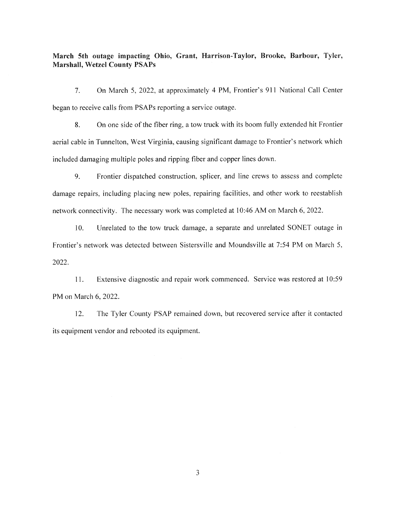# March 5th outage impacting Ohio, Grant, Harrison-Taylor, Brooke, Barbour, Tyler, **Marshall, Wetzel County PSAPs**

7. On March 5, 2022, at approximately 4 PM, Frontier's 911 National Call Center began to receive calls from PSAPs reporting a service outage.

**8.** On one side of the fiber ring, a tow truck with its boom fully extended hit Frontier aerial cable in Tunnelton, West Virginia, causing significant damage to Frontier's network which included damaging multiple poles and ripping fiber and copper lines down.

9. Frontier dispatched construction, splicer. and line crews to assess and complete damage repairs, including placing new poles. repairing facilities, and other work to reestablish network connectivity. The necessary work was completed at 10:46 AM on March 6, 2022.

10. Unrelated to the tow truck damage, a separate and unrelated SONET outage in Frontier's network was detected between Sistersville and Moundsville at 754 PM on March *5,*  2022.

11. Extensive diagnostic and repair work commenced. Service was restored at 10:59 PM on March 6, 2022.

12. The Tyler County PSAP remained down, but recovered service after it contacted its equipment vendor and rebooted its equipment.

*3*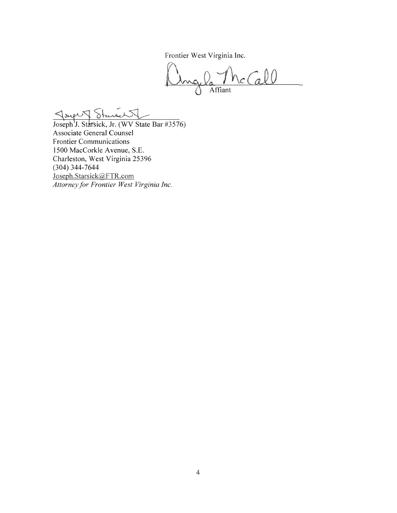Frontier West Virginia Inc.

Ingla The Call Affiant

Joseph J. Stander (WV State Bar #3576) Associate General Counsel Frontier Communications I500 MacCorkle Avenue, S.E. Charleston, West Virginia 25396 (304) 344-7644<br>Joseph.Starsick@FTR.com *Attorney, for Frontier West Virginia Inc.*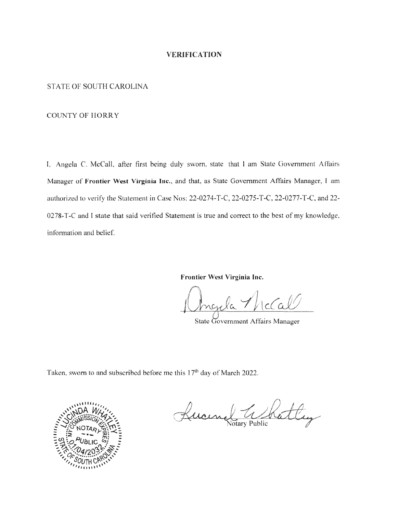## **VERIFICATION**

# **STATE OF SOUTH CAROLINA**

#### **COUNTY OF HORRY**

I, Angela C. McCall, after first being duly sworn, state that I am State Government Affairs Manager of Frontier West Virginia Inc., and that, as State Government Affairs Manager, I am authorized to verify the Statement in Case Nos: 22-0274-T-C, 22-0275-T-C, 22-0277-T-C, and 22-0278-T-C and I state that said verified Statement is true and correct to the best of my knowledge, information and belief.

Frontier West Virginia Inc.

 $c(a)$ 

State Government Affairs Manager

Taken, sworn to and subscribed before me this 17<sup>th</sup> day of March 2022.



The Rattley Kucing